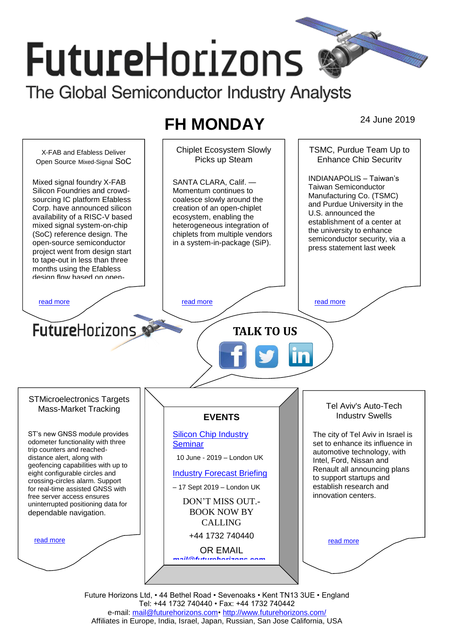# **FutureHorizons**

The Global Semiconductor Industry Analysts

# **FH MONDAY** 24 June 2019

Chiplet Ecosystem Slowly TSMC, Purdue Team Up to X-FAB and Efabless Deliver Enhance Chip Security Picks up Steam Open Source Mixed-Signal SoC INDIANAPOLIS – Taiwan's SANTA CLARA, Calif. — Mixed signal foundry X-FAB Taiwan Semiconductor Silicon Foundries and crowd-Momentum continues to Manufacturing Co. (TSMC) sourcing IC platform Efabless coalesce slowly around the and Purdue University in the Corp. have announced silicon creation of an open-chiplet U.S. announced the availability of a RISC-V based ecosystem, enabling the establishment of a center at mixed signal system-on-chip heterogeneous integration of the university to enhance (SoC) reference design. The chiplets from multiple vendors semiconductor security, via a in a system-in-package (SiP). open-source semiconductor press statement last week project went from design start to tape-out in less than three months using the Efabless design flow based on open[read more](#page-1-1) that the second contract the second contract of the read more that the read more that the read more **Future**Horizons **TALK TO US** STMicroelectronics Targets Tel Aviv's Auto-Tech Mass-Market Tracking Industry Swells **EVENTS** ST's new GNSS module provides [Silicon Chip Industry](http://www.futurehorizons.com/page/12/silicon-chip-training)  The city of Tel Aviv in Israel is odometer functionality with three **[Seminar](http://www.futurehorizons.com/page/12/silicon-chip-training)** set to enhance its influence in trip counters and reachedautomotive technology, with distance alert, along with 10 June - 2019 – London UK Intel, Ford, Nissan and geofencing capabilities with up to Renault all announcing plans eight configurable circles and [Industry Forecast Briefing](http://www.futurehorizons.com/page/13/Semiconductor-Market-Forecast-Seminar) to support startups and crossing-circles alarm. Support establish research and – 17 Sept 2019 – London UK for real-time assisted GNSS with innovation centers. free server access ensures DON'T MISS OUT. uninterrupted positioning data for BOOK NOW BY dependable navigation.CALLING +44 1732 740440 [read more](#page-1-3) [read more](#page-1-4) OR EMAIL *[mail@futurehorizons.com](mailto:mail@futurehorizons.com)*

> Future Horizons Ltd, • 44 Bethel Road • Sevenoaks • Kent TN13 3UE • England Tel: +44 1732 740440 • Fax: +44 1732 740442 e-mail: [mail@futurehorizons.com•](../FH%20Monday%20-%202017/mail@futurehorizons.com)<http://www.futurehorizons.com/> Affiliates in Europe, India, Israel, Japan, Russian, San Jose California, USA